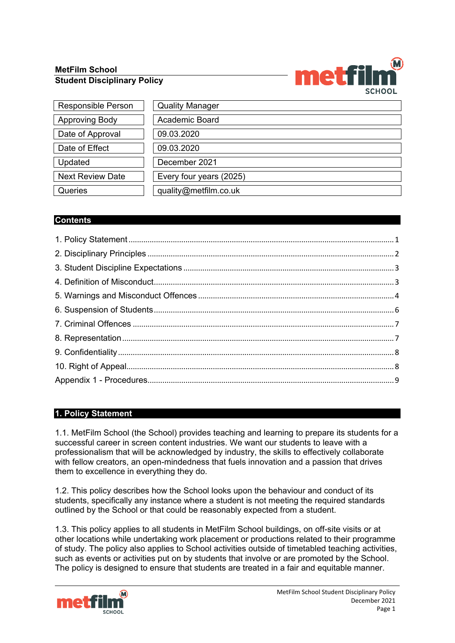# **MetFilm School Student Disciplinary Policy**



| <b>Responsible Person</b> | <b>Quality Manager</b>  |
|---------------------------|-------------------------|
| <b>Approving Body</b>     | <b>Academic Board</b>   |
| Date of Approval          | 09.03.2020              |
| Date of Effect            | 09.03.2020              |
| Updated                   | December 2021           |
| <b>Next Review Date</b>   | Every four years (2025) |
| Queries                   | quality@metfilm.co.uk   |

# **Contents**

# <span id="page-0-0"></span>**1. Policy Statement**

1.1. MetFilm School (the School) provides teaching and learning to prepare its students for a successful career in screen content industries. We want our students to leave with a professionalism that will be acknowledged by industry, the skills to effectively collaborate with fellow creators, an open-mindedness that fuels innovation and a passion that drives them to excellence in everything they do.

1.2. This policy describes how the School looks upon the behaviour and conduct of its students, specifically any instance where a student is not meeting the required standards outlined by the School or that could be reasonably expected from a student.

1.3. This policy applies to all students in MetFilm School buildings, on off-site visits or at other locations while undertaking work placement or productions related to their programme of study. The policy also applies to School activities outside of timetabled teaching activities, such as events or activities put on by students that involve or are promoted by the School. The policy is designed to ensure that students are treated in a fair and equitable manner.

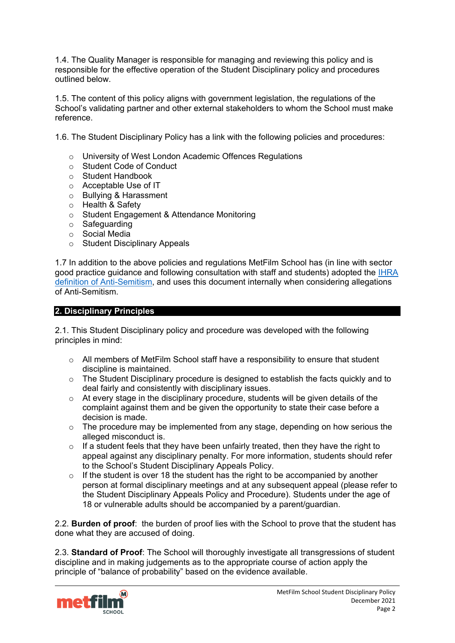1.4. The Quality Manager is responsible for managing and reviewing this policy and is responsible for the effective operation of the Student Disciplinary policy and procedures outlined below.

1.5. The content of this policy aligns with government legislation, the regulations of the School's validating partner and other external stakeholders to whom the School must make reference.

1.6. The Student Disciplinary Policy has a link with the following policies and procedures:

- o University of West London Academic Offences Regulations
- o Student Code of Conduct
- o Student Handbook
- o Acceptable Use of IT
- o Bullying & Harassment
- o Health & Safety
- o Student Engagement & Attendance Monitoring
- o Safeguarding
- o Social Media
- o Student Disciplinary Appeals

1.7 In addition to the above policies and regulations MetFilm School has (in line with sector good practice guidance and following consultation with staff and students) adopted the [IHRA](https://www.holocaustremembrance.com/resources/working-definitions-charters/working-definition-antisemitism)  definition [of Anti-Semitism,](https://www.holocaustremembrance.com/resources/working-definitions-charters/working-definition-antisemitism) and uses this document internally when considering allegations of Anti-Semitism.

### <span id="page-1-0"></span>**2. Disciplinary Principles**

2.1. This Student Disciplinary policy and procedure was developed with the following principles in mind:

- $\circ$  All members of MetFilm School staff have a responsibility to ensure that student discipline is maintained.
- o The Student Disciplinary procedure is designed to establish the facts quickly and to deal fairly and consistently with disciplinary issues.
- o At every stage in the disciplinary procedure, students will be given details of the complaint against them and be given the opportunity to state their case before a decision is made.
- o The procedure may be implemented from any stage, depending on how serious the alleged misconduct is.
- $\circ$  If a student feels that they have been unfairly treated, then they have the right to appeal against any disciplinary penalty. For more information, students should refer to the School's Student Disciplinary Appeals Policy.
- $\circ$  If the student is over 18 the student has the right to be accompanied by another person at formal disciplinary meetings and at any subsequent appeal (please refer to the Student Disciplinary Appeals Policy and Procedure). Students under the age of 18 or vulnerable adults should be accompanied by a parent/guardian.

2.2. **Burden of proof**: the burden of proof lies with the School to prove that the student has done what they are accused of doing.

2.3. **Standard of Proof**: The School will thoroughly investigate all transgressions of student discipline and in making judgements as to the appropriate course of action apply the principle of "balance of probability" based on the evidence available.

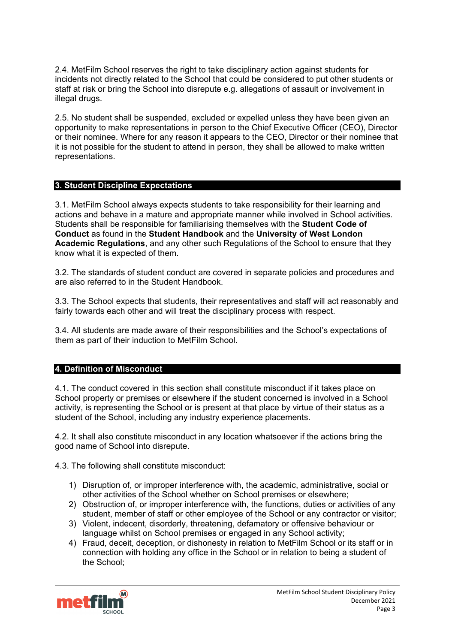2.4. MetFilm School reserves the right to take disciplinary action against students for incidents not directly related to the School that could be considered to put other students or staff at risk or bring the School into disrepute e.g. allegations of assault or involvement in illegal drugs.

2.5. No student shall be suspended, excluded or expelled unless they have been given an opportunity to make representations in person to the Chief Executive Officer (CEO), Director or their nominee. Where for any reason it appears to the CEO, Director or their nominee that it is not possible for the student to attend in person, they shall be allowed to make written representations.

### <span id="page-2-0"></span>**3. Student Discipline Expectations**

3.1. MetFilm School always expects students to take responsibility for their learning and actions and behave in a mature and appropriate manner while involved in School activities. Students shall be responsible for familiarising themselves with the **Student Code of Conduct** as found in the **Student Handbook** and the **University of West London Academic Regulations**, and any other such Regulations of the School to ensure that they know what it is expected of them.

3.2. The standards of student conduct are covered in separate policies and procedures and are also referred to in the Student Handbook.

3.3. The School expects that students, their representatives and staff will act reasonably and fairly towards each other and will treat the disciplinary process with respect.

3.4. All students are made aware of their responsibilities and the School's expectations of them as part of their induction to MetFilm School.

### <span id="page-2-1"></span>**4. Definition of Misconduct**

4.1. The conduct covered in this section shall constitute misconduct if it takes place on School property or premises or elsewhere if the student concerned is involved in a School activity, is representing the School or is present at that place by virtue of their status as a student of the School, including any industry experience placements.

4.2. It shall also constitute misconduct in any location whatsoever if the actions bring the good name of School into disrepute.

4.3. The following shall constitute misconduct:

- 1) Disruption of, or improper interference with, the academic, administrative, social or other activities of the School whether on School premises or elsewhere;
- 2) Obstruction of, or improper interference with, the functions, duties or activities of any student, member of staff or other employee of the School or any contractor or visitor;
- 3) Violent, indecent, disorderly, threatening, defamatory or offensive behaviour or language whilst on School premises or engaged in any School activity;
- 4) Fraud, deceit, deception, or dishonesty in relation to MetFilm School or its staff or in connection with holding any office in the School or in relation to being a student of the School;

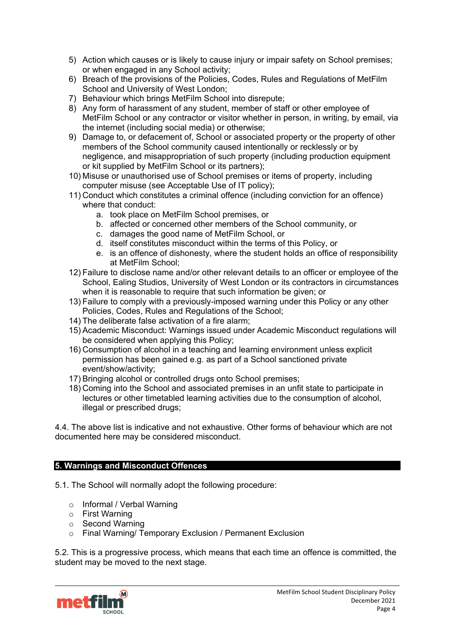- 5) Action which causes or is likely to cause injury or impair safety on School premises; or when engaged in any School activity;
- 6) Breach of the provisions of the Policies, Codes, Rules and Regulations of MetFilm School and University of West London;
- 7) Behaviour which brings MetFilm School into disrepute;
- 8) Any form of harassment of any student, member of staff or other employee of MetFilm School or any contractor or visitor whether in person, in writing, by email, via the internet (including social media) or otherwise;
- 9) Damage to, or defacement of, School or associated property or the property of other members of the School community caused intentionally or recklessly or by negligence, and misappropriation of such property (including production equipment or kit supplied by MetFilm School or its partners);
- 10) Misuse or unauthorised use of School premises or items of property, including computer misuse (see Acceptable Use of IT policy);
- 11) Conduct which constitutes a criminal offence (including conviction for an offence) where that conduct:
	- a. took place on MetFilm School premises, or
	- b. affected or concerned other members of the School community, or
	- c. damages the good name of MetFilm School, or
	- d. itself constitutes misconduct within the terms of this Policy, or
	- e. is an offence of dishonesty, where the student holds an office of responsibility at MetFilm School;
- 12) Failure to disclose name and/or other relevant details to an officer or employee of the School, Ealing Studios, University of West London or its contractors in circumstances when it is reasonable to require that such information be given; or
- 13) Failure to comply with a previously-imposed warning under this Policy or any other Policies, Codes, Rules and Regulations of the School;
- 14) The deliberate false activation of a fire alarm;
- 15) Academic Misconduct: Warnings issued under Academic Misconduct regulations will be considered when applying this Policy;
- 16) Consumption of alcohol in a teaching and learning environment unless explicit permission has been gained e.g. as part of a School sanctioned private event/show/activity;
- 17) Bringing alcohol or controlled drugs onto School premises;
- 18) Coming into the School and associated premises in an unfit state to participate in lectures or other timetabled learning activities due to the consumption of alcohol, illegal or prescribed drugs;

4.4. The above list is indicative and not exhaustive. Other forms of behaviour which are not documented here may be considered misconduct.

### <span id="page-3-0"></span>**5. Warnings and Misconduct Offences**

5.1. The School will normally adopt the following procedure:

- o Informal / Verbal Warning
- o First Warning
- o Second Warning
- o Final Warning/ Temporary Exclusion / Permanent Exclusion

5.2. This is a progressive process, which means that each time an offence is committed, the student may be moved to the next stage.

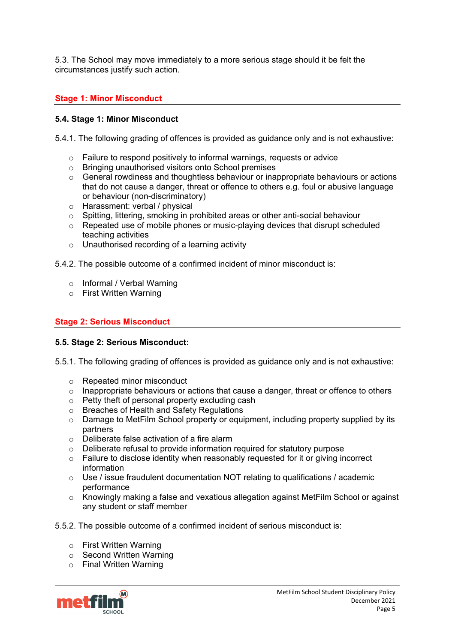5.3. The School may move immediately to a more serious stage should it be felt the circumstances justify such action.

# **Stage 1: Minor Misconduct**

### **5.4. Stage 1: Minor Misconduct**

5.4.1. The following grading of offences is provided as guidance only and is not exhaustive:

- $\circ$  Failure to respond positively to informal warnings, requests or advice  $\circ$  Bringing unauthorised visitors onto School premises
- Bringing unauthorised visitors onto School premises
- $\circ$  General rowdiness and thoughtless behaviour or inappropriate behaviours or actions that do not cause a danger, threat or offence to others e.g. foul or abusive language or behaviour (non-discriminatory)
- o Harassment: verbal / physical
- o Spitting, littering, smoking in prohibited areas or other anti-social behaviour
- $\circ$  Repeated use of mobile phones or music-playing devices that disrupt scheduled teaching activities
- o Unauthorised recording of a learning activity

5.4.2. The possible outcome of a confirmed incident of minor misconduct is:

- o Informal / Verbal Warning
- o First Written Warning

### **Stage 2: Serious Misconduct**

### **5.5. Stage 2: Serious Misconduct:**

5.5.1. The following grading of offences is provided as guidance only and is not exhaustive:

- o Repeated minor misconduct
- o Inappropriate behaviours or actions that cause a danger, threat or offence to others
- o Petty theft of personal property excluding cash
- o Breaches of Health and Safety Regulations
- $\circ$  Damage to MetFilm School property or equipment, including property supplied by its partners
- 
- o Deliberate false activation of a fire alarm<br>
o Deliberate refusal to provide information  $\circ$  Deliberate refusal to provide information required for statutory purpose<br>  $\circ$  Failure to disclose identity when reasonably requested for it or giving in
- Failure to disclose identity when reasonably requested for it or giving incorrect information
- $\circ$  Use / issue fraudulent documentation NOT relating to qualifications / academic performance
- o Knowingly making a false and vexatious allegation against MetFilm School or against any student or staff member
- 5.5.2. The possible outcome of a confirmed incident of serious misconduct is:
	- o First Written Warning
	- o Second Written Warning
	- o Final Written Warning

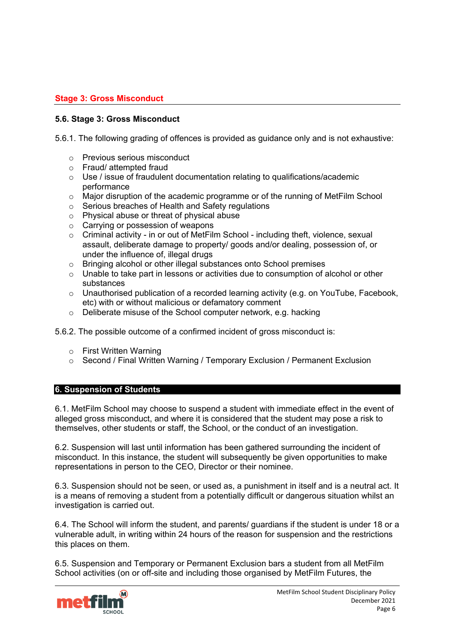# **Stage 3: Gross Misconduct**

### **5.6. Stage 3: Gross Misconduct**

5.6.1. The following grading of offences is provided as guidance only and is not exhaustive:

- o Previous serious misconduct
- o Fraud/ attempted fraud
- $\circ$  Use / issue of fraudulent documentation relating to qualifications/academic performance
- o Major disruption of the academic programme or of the running of MetFilm School
- o Serious breaches of Health and Safety regulations
- o Physical abuse or threat of physical abuse<br>○ Carrying or possession of weapons
- Carrying or possession of weapons
- o Criminal activity in or out of MetFilm School including theft, violence, sexual assault, deliberate damage to property/ goods and/or dealing, possession of, or under the influence of, illegal drugs
- o Bringing alcohol or other illegal substances onto School premises
- o Unable to take part in lessons or activities due to consumption of alcohol or other substances
- o Unauthorised publication of a recorded learning activity (e.g. on YouTube, Facebook, etc) with or without malicious or defamatory comment
- o Deliberate misuse of the School computer network, e.g. hacking
- 5.6.2. The possible outcome of a confirmed incident of gross misconduct is:
	- o First Written Warning
	- o Second / Final Written Warning / Temporary Exclusion / Permanent Exclusion

### <span id="page-5-0"></span>**6. Suspension of Students**

6.1. MetFilm School may choose to suspend a student with immediate effect in the event of alleged gross misconduct, and where it is considered that the student may pose a risk to themselves, other students or staff, the School, or the conduct of an investigation.

6.2. Suspension will last until information has been gathered surrounding the incident of misconduct. In this instance, the student will subsequently be given opportunities to make representations in person to the CEO, Director or their nominee.

6.3. Suspension should not be seen, or used as, a punishment in itself and is a neutral act. It is a means of removing a student from a potentially difficult or dangerous situation whilst an investigation is carried out.

6.4. The School will inform the student, and parents/ guardians if the student is under 18 or a vulnerable adult, in writing within 24 hours of the reason for suspension and the restrictions this places on them.

6.5. Suspension and Temporary or Permanent Exclusion bars a student from all MetFilm School activities (on or off-site and including those organised by MetFilm Futures, the

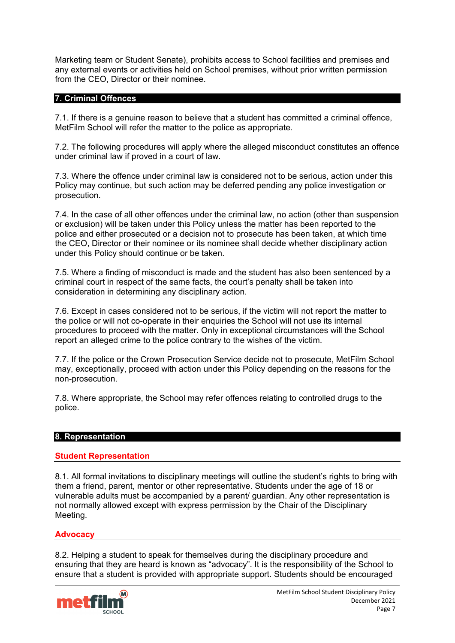Marketing team or Student Senate), prohibits access to School facilities and premises and any external events or activities held on School premises, without prior written permission from the CEO, Director or their nominee.

### <span id="page-6-0"></span>**7. Criminal Offences**

7.1. If there is a genuine reason to believe that a student has committed a criminal offence, MetFilm School will refer the matter to the police as appropriate.

7.2. The following procedures will apply where the alleged misconduct constitutes an offence under criminal law if proved in a court of law.

7.3. Where the offence under criminal law is considered not to be serious, action under this Policy may continue, but such action may be deferred pending any police investigation or prosecution.

7.4. In the case of all other offences under the criminal law, no action (other than suspension or exclusion) will be taken under this Policy unless the matter has been reported to the police and either prosecuted or a decision not to prosecute has been taken, at which time the CEO, Director or their nominee or its nominee shall decide whether disciplinary action under this Policy should continue or be taken.

7.5. Where a finding of misconduct is made and the student has also been sentenced by a criminal court in respect of the same facts, the court's penalty shall be taken into consideration in determining any disciplinary action.

7.6. Except in cases considered not to be serious, if the victim will not report the matter to the police or will not co-operate in their enquiries the School will not use its internal procedures to proceed with the matter. Only in exceptional circumstances will the School report an alleged crime to the police contrary to the wishes of the victim.

7.7. If the police or the Crown Prosecution Service decide not to prosecute, MetFilm School may, exceptionally, proceed with action under this Policy depending on the reasons for the non-prosecution.

7.8. Where appropriate, the School may refer offences relating to controlled drugs to the police.

### <span id="page-6-1"></span>**8. Representation**

### **Student Representation**

8.1. All formal invitations to disciplinary meetings will outline the student's rights to bring with them a friend, parent, mentor or other representative. Students under the age of 18 or vulnerable adults must be accompanied by a parent/ guardian. Any other representation is not normally allowed except with express permission by the Chair of the Disciplinary Meeting.

### **Advocacy**

8.2. Helping a student to speak for themselves during the disciplinary procedure and ensuring that they are heard is known as "advocacy". It is the responsibility of the School to ensure that a student is provided with appropriate support. Students should be encouraged

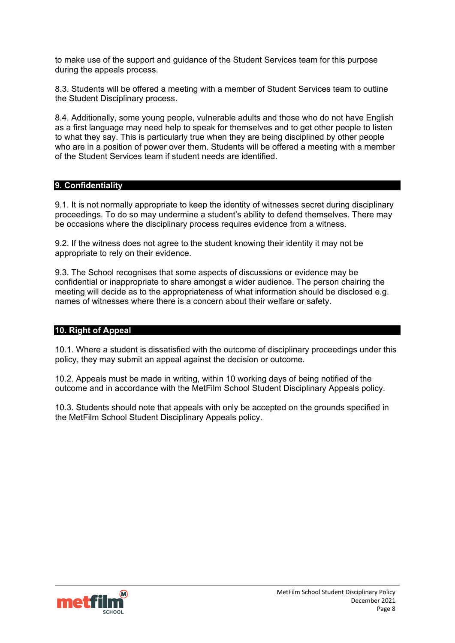to make use of the support and guidance of the Student Services team for this purpose during the appeals process.

8.3. Students will be offered a meeting with a member of Student Services team to outline the Student Disciplinary process.

8.4. Additionally, some young people, vulnerable adults and those who do not have English as a first language may need help to speak for themselves and to get other people to listen to what they say. This is particularly true when they are being disciplined by other people who are in a position of power over them. Students will be offered a meeting with a member of the Student Services team if student needs are identified.

### <span id="page-7-0"></span>**9. Confidentiality**

9.1. It is not normally appropriate to keep the identity of witnesses secret during disciplinary proceedings. To do so may undermine a student's ability to defend themselves. There may be occasions where the disciplinary process requires evidence from a witness.

9.2. If the witness does not agree to the student knowing their identity it may not be appropriate to rely on their evidence.

9.3. The School recognises that some aspects of discussions or evidence may be confidential or inappropriate to share amongst a wider audience. The person chairing the meeting will decide as to the appropriateness of what information should be disclosed e.g. names of witnesses where there is a concern about their welfare or safety.

# <span id="page-7-1"></span>**10. Right of Appeal**

10.1. Where a student is dissatisfied with the outcome of disciplinary proceedings under this policy, they may submit an appeal against the decision or outcome.

10.2. Appeals must be made in writing, within 10 working days of being notified of the outcome and in accordance with the MetFilm School Student Disciplinary Appeals policy.

10.3. Students should note that appeals with only be accepted on the grounds specified in the MetFilm School Student Disciplinary Appeals policy.

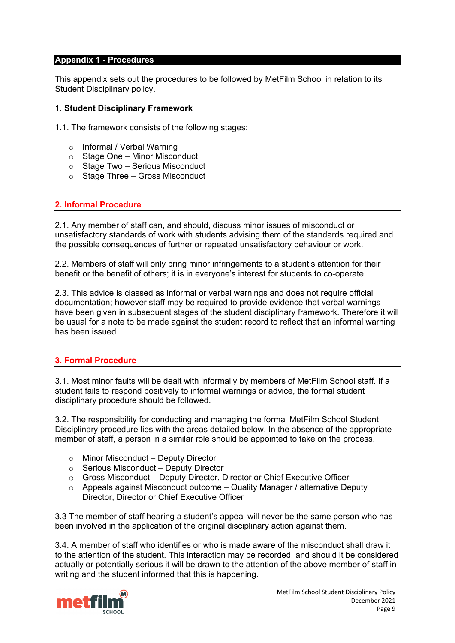#### <span id="page-8-0"></span>**Appendix 1 - Procedures**

This appendix sets out the procedures to be followed by MetFilm School in relation to its Student Disciplinary policy.

#### 1. **Student Disciplinary Framework**

1.1. The framework consists of the following stages:

- o Informal / Verbal Warning
- $\circ$  Stage One Minor Misconduct
- o Stage Two Serious Misconduct
- $\circ$  Stage Three Gross Misconduct

### **2. Informal Procedure**

2.1. Any member of staff can, and should, discuss minor issues of misconduct or unsatisfactory standards of work with students advising them of the standards required and the possible consequences of further or repeated unsatisfactory behaviour or work.

2.2. Members of staff will only bring minor infringements to a student's attention for their benefit or the benefit of others; it is in everyone's interest for students to co-operate.

2.3. This advice is classed as informal or verbal warnings and does not require official documentation; however staff may be required to provide evidence that verbal warnings have been given in subsequent stages of the student disciplinary framework. Therefore it will be usual for a note to be made against the student record to reflect that an informal warning has been issued.

### **3. Formal Procedure**

3.1. Most minor faults will be dealt with informally by members of MetFilm School staff. If a student fails to respond positively to informal warnings or advice, the formal student disciplinary procedure should be followed.

3.2. The responsibility for conducting and managing the formal MetFilm School Student Disciplinary procedure lies with the areas detailed below. In the absence of the appropriate member of staff, a person in a similar role should be appointed to take on the process.

- o Minor Misconduct Deputy Director
- o Serious Misconduct Deputy Director
- $\circ$  Gross Misconduct Deputy Director, Director or Chief Executive Officer
- $\circ$  Appeals against Misconduct outcome Quality Manager / alternative Deputy Director, Director or Chief Executive Officer

3.3 The member of staff hearing a student's appeal will never be the same person who has been involved in the application of the original disciplinary action against them.

3.4. A member of staff who identifies or who is made aware of the misconduct shall draw it to the attention of the student. This interaction may be recorded, and should it be considered actually or potentially serious it will be drawn to the attention of the above member of staff in writing and the student informed that this is happening.

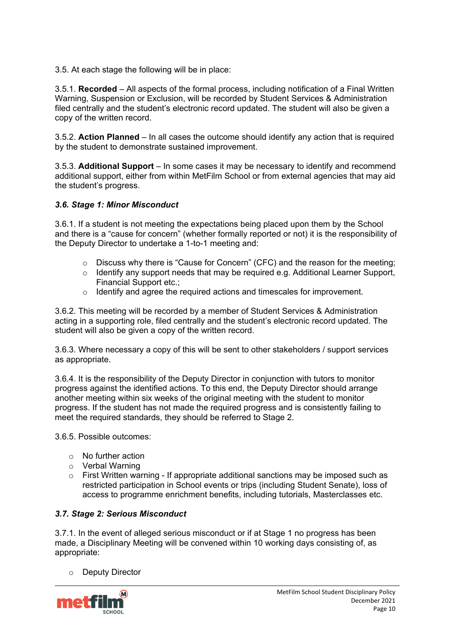3.5. At each stage the following will be in place:

3.5.1. **Recorded** – All aspects of the formal process, including notification of a Final Written Warning, Suspension or Exclusion, will be recorded by Student Services & Administration filed centrally and the student's electronic record updated. The student will also be given a copy of the written record.

3.5.2. **Action Planned** – In all cases the outcome should identify any action that is required by the student to demonstrate sustained improvement.

3.5.3. **Additional Support** – In some cases it may be necessary to identify and recommend additional support, either from within MetFilm School or from external agencies that may aid the student's progress.

# *3.6. Stage 1: Minor Misconduct*

3.6.1. If a student is not meeting the expectations being placed upon them by the School and there is a "cause for concern" (whether formally reported or not) it is the responsibility of the Deputy Director to undertake a 1-to-1 meeting and:

- o Discuss why there is "Cause for Concern" (CFC) and the reason for the meeting;
- $\circ$  Identify any support needs that may be required e.g. Additional Learner Support, Financial Support etc.;
- o Identify and agree the required actions and timescales for improvement.

3.6.2. This meeting will be recorded by a member of Student Services & Administration acting in a supporting role, filed centrally and the student's electronic record updated. The student will also be given a copy of the written record.

3.6.3. Where necessary a copy of this will be sent to other stakeholders / support services as appropriate.

3.6.4. It is the responsibility of the Deputy Director in conjunction with tutors to monitor progress against the identified actions. To this end, the Deputy Director should arrange another meeting within six weeks of the original meeting with the student to monitor progress. If the student has not made the required progress and is consistently failing to meet the required standards, they should be referred to Stage 2.

3.6.5. Possible outcomes:

- o No further action
- 
- $\circ$  Verbal Warning<br> $\circ$  First Written war First Written warning - If appropriate additional sanctions may be imposed such as restricted participation in School events or trips (including Student Senate), loss of access to programme enrichment benefits, including tutorials, Masterclasses etc.

# *3.7. Stage 2: Serious Misconduct*

3.7.1. In the event of alleged serious misconduct or if at Stage 1 no progress has been made, a Disciplinary Meeting will be convened within 10 working days consisting of, as appropriate:

### o Deputy Director

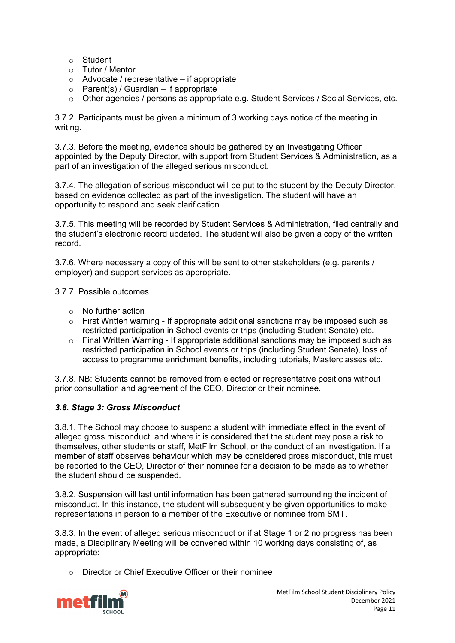- o Student
- o Tutor / Mentor
- $\circ$  Advocate / representative if appropriate
- $\circ$  Parent(s) / Guardian if appropriate
- o Other agencies / persons as appropriate e.g. Student Services / Social Services, etc.

3.7.2. Participants must be given a minimum of 3 working days notice of the meeting in writing.

3.7.3. Before the meeting, evidence should be gathered by an Investigating Officer appointed by the Deputy Director, with support from Student Services & Administration, as a part of an investigation of the alleged serious misconduct.

3.7.4. The allegation of serious misconduct will be put to the student by the Deputy Director, based on evidence collected as part of the investigation. The student will have an opportunity to respond and seek clarification.

3.7.5. This meeting will be recorded by Student Services & Administration, filed centrally and the student's electronic record updated. The student will also be given a copy of the written record.

3.7.6. Where necessary a copy of this will be sent to other stakeholders (e.g. parents / employer) and support services as appropriate.

3.7.7. Possible outcomes

- $\circ$  No further action
- $\circ$  First Written warning If appropriate additional sanctions may be imposed such as restricted participation in School events or trips (including Student Senate) etc.
- $\circ$  Final Written Warning If appropriate additional sanctions may be imposed such as restricted participation in School events or trips (including Student Senate), loss of access to programme enrichment benefits, including tutorials, Masterclasses etc.

3.7.8. NB: Students cannot be removed from elected or representative positions without prior consultation and agreement of the CEO, Director or their nominee.

### *3.8. Stage 3: Gross Misconduct*

3.8.1. The School may choose to suspend a student with immediate effect in the event of alleged gross misconduct, and where it is considered that the student may pose a risk to themselves, other students or staff, MetFilm School, or the conduct of an investigation. If a member of staff observes behaviour which may be considered gross misconduct, this must be reported to the CEO, Director of their nominee for a decision to be made as to whether the student should be suspended.

3.8.2. Suspension will last until information has been gathered surrounding the incident of misconduct. In this instance, the student will subsequently be given opportunities to make representations in person to a member of the Executive or nominee from SMT.

3.8.3. In the event of alleged serious misconduct or if at Stage 1 or 2 no progress has been made, a Disciplinary Meeting will be convened within 10 working days consisting of, as appropriate:

o Director or Chief Executive Officer or their nominee